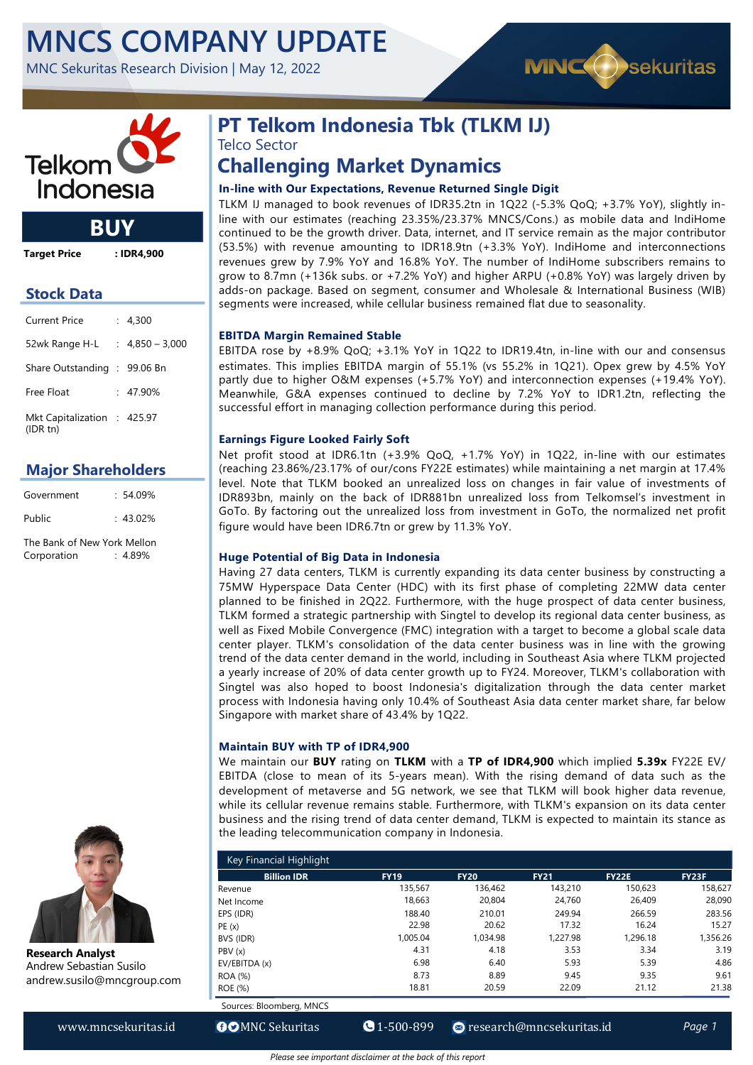# **MNCS COMPANY UPDATE**

MNC Sekuritas Research Division | May 12, 2022





**BUY**

**Target Price : IDR4,900**

### **Stock Data**

| Current Price                          | : 4,300           |
|----------------------------------------|-------------------|
| 52wk Range H-L                         | $: 4,850 - 3,000$ |
| Share Outstanding : 99.06 Bn           |                   |
| Free Float                             | $: 47.90\%$       |
| Mkt Capitalization : 425.97<br>(IDRtn) |                   |

### **Major Shareholders**

| Government | $: 54.09\%$ |
|------------|-------------|
| Public     | $: 43.02\%$ |
|            |             |

The Bank of New York Mellon Corporation : 4.89%



**Research Analyst** Andrew Sebastian Susilo andrew.susilo@mncgroup.com

## **PT Telkom Indonesia Tbk (TLKM IJ)** Telco Sector

## **Challenging Market Dynamics**

#### **In-line with Our Expectations, Revenue Returned Single Digit**

TLKM IJ managed to book revenues of IDR35.2tn in 1Q22 (-5.3% QoQ; +3.7% YoY), slightly inline with our estimates (reaching 23.35%/23.37% MNCS/Cons.) as mobile data and IndiHome continued to be the growth driver. Data, internet, and IT service remain as the major contributor (53.5%) with revenue amounting to IDR18.9tn (+3.3% YoY). IndiHome and interconnections revenues grew by 7.9% YoY and 16.8% YoY. The number of IndiHome subscribers remains to grow to 8.7mn (+136k subs. or +7.2% YoY) and higher ARPU (+0.8% YoY) was largely driven by adds-on package. Based on segment, consumer and Wholesale & International Business (WIB) segments were increased, while cellular business remained flat due to seasonality.

#### **EBITDA Margin Remained Stable**

EBITDA rose by +8.9% QoQ; +3.1% YoY in 1Q22 to IDR19.4tn, in-line with our and consensus estimates. This implies EBITDA margin of 55.1% (vs 55.2% in 1Q21). Opex grew by 4.5% YoY partly due to higher O&M expenses (+5.7% YoY) and interconnection expenses (+19.4% YoY). Meanwhile, G&A expenses continued to decline by 7.2% YoY to IDR1.2tn, reflecting the successful effort in managing collection performance during this period.

#### **Earnings Figure Looked Fairly Soft**

Net profit stood at IDR6.1tn (+3.9% QoQ, +1.7% YoY) in 1Q22, in-line with our estimates (reaching 23.86%/23.17% of our/cons FY22E estimates) while maintaining a net margin at 17.4% level. Note that TLKM booked an unrealized loss on changes in fair value of investments of IDR893bn, mainly on the back of IDR881bn unrealized loss from Telkomsel's investment in GoTo. By factoring out the unrealized loss from investment in GoTo, the normalized net profit figure would have been IDR6.7tn or grew by 11.3% YoY.

#### **Huge Potential of Big Data in Indonesia**

Having 27 data centers, TLKM is currently expanding its data center business by constructing a 75MW Hyperspace Data Center (HDC) with its first phase of completing 22MW data center planned to be finished in 2Q22. Furthermore, with the huge prospect of data center business, TLKM formed a strategic partnership with Singtel to develop its regional data center business, as well as Fixed Mobile Convergence (FMC) integration with a target to become a global scale data center player. TLKM's consolidation of the data center business was in line with the growing trend of the data center demand in the world, including in Southeast Asia where TLKM projected a yearly increase of 20% of data center growth up to FY24. Moreover, TLKM's collaboration with Singtel was also hoped to boost Indonesia's digitalization through the data center market process with Indonesia having only 10.4% of Southeast Asia data center market share, far below Singapore with market share of 43.4% by 1Q22.

#### **Maintain BUY with TP of IDR4,900**

We maintain our **BUY** rating on **TLKM** with a **TP of IDR4,900** which implied **5.39x** FY22E EV/ EBITDA (close to mean of its 5-years mean). With the rising demand of data such as the development of metaverse and 5G network, we see that TLKM will book higher data revenue, while its cellular revenue remains stable. Furthermore, with TLKM's expansion on its data center business and the rising trend of data center demand, TLKM is expected to maintain its stance as the leading telecommunication company in Indonesia.

| Key Financial Highlight  |             |             |             |              |              |  |  |  |  |
|--------------------------|-------------|-------------|-------------|--------------|--------------|--|--|--|--|
| <b>Billion IDR</b>       | <b>FY19</b> | <b>FY20</b> | <b>FY21</b> | <b>FY22E</b> | <b>FY23F</b> |  |  |  |  |
| Revenue                  | 135.567     | 136.462     | 143.210     | 150.623      | 158,627      |  |  |  |  |
| Net Income               | 18,663      | 20,804      | 24,760      | 26,409       | 28,090       |  |  |  |  |
| EPS (IDR)                | 188.40      | 210.01      | 249.94      | 266.59       | 283.56       |  |  |  |  |
| PE(x)                    | 22.98       | 20.62       | 17.32       | 16.24        | 15.27        |  |  |  |  |
| BVS (IDR)                | 1.005.04    | 1.034.98    | 1.227.98    | 1.296.18     | 1,356.26     |  |  |  |  |
| PBV(x)                   | 4.31        | 4.18        | 3.53        | 3.34         | 3.19         |  |  |  |  |
| EV/EBITDA (x)            | 6.98        | 6.40        | 5.93        | 5.39         | 4.86         |  |  |  |  |
| <b>ROA</b> (%)           | 8.73        | 8.89        | 9.45        | 9.35         | 9.61         |  |  |  |  |
| ROE (%)                  | 18.81       | 20.59       | 22.09       | 21.12        | 21.38        |  |  |  |  |
| Sources: Bloomberg, MNCS |             |             |             |              |              |  |  |  |  |

www.mncsekuritas.id **OO**MNC Sekuritas ● 1-500-899 **P**research@mncsekuritas.id Page 1

*Please see important disclaimer at the back of this report*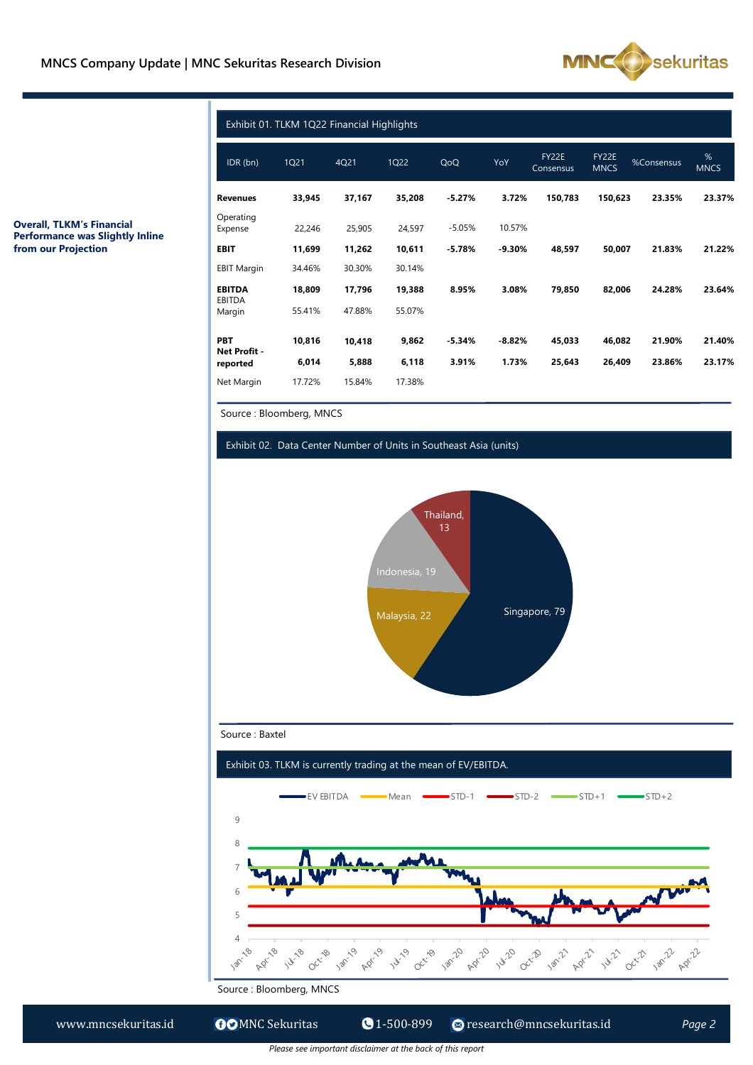

|                                                                            | <b>Revenues</b>      |  |  |
|----------------------------------------------------------------------------|----------------------|--|--|
| <b>Overall, TLKM's Financial</b><br><b>Performance was Slightly Inline</b> | Operating<br>Expense |  |  |
| from our Projection                                                        | EBIT                 |  |  |
|                                                                            | <b>EBIT Margin</b>   |  |  |

|                         | IDR (bn)                 | 1Q21                          | 4Q21       | 1Q22                 | QoQ                                                               | YoY                         | FY22E<br>Consensus    | FY22E<br><b>MNCS</b>        | %Consensus                  | %<br><b>MNCS</b> |  |  |
|-------------------------|--------------------------|-------------------------------|------------|----------------------|-------------------------------------------------------------------|-----------------------------|-----------------------|-----------------------------|-----------------------------|------------------|--|--|
|                         | <b>Revenues</b>          | 33,945                        | 37,167     | 35,208               | $-5.27%$                                                          | 3.72%                       | 150,783               | 150,623                     | 23.35%                      | 23.37%           |  |  |
| nce was Slightly Inline | Operating<br>Expense     | 22,246                        | 25,905     | 24,597               | $-5.05%$                                                          | 10.57%                      |                       |                             |                             |                  |  |  |
|                         | <b>EBIT</b>              | 11,699                        | 11,262     | 10,611               | $-5.78%$                                                          | $-9.30%$                    | 48,597                | 50,007                      | 21.83%                      | 21.22%           |  |  |
|                         | <b>EBIT Margin</b>       | 34.46%                        | 30.30%     | 30.14%               |                                                                   |                             |                       |                             |                             |                  |  |  |
|                         | <b>EBITDA</b><br>EBITDA  | 18,809                        | 17,796     | 19,388               | 8.95%                                                             | 3.08%                       | 79,850                | 82,006                      | 24.28%                      | 23.64%           |  |  |
|                         | Margin                   | 55.41%                        | 47.88%     | 55.07%               |                                                                   |                             |                       |                             |                             |                  |  |  |
|                         | PBT                      | 10,816                        | 10,418     | 9,862                | $-5.34%$                                                          | $-8.82%$                    | 45,033                | 46,082                      | 21.90%                      | 21.40%           |  |  |
|                         | Net Profit -<br>reported | 6,014                         | 5,888      | 6,118                | 3.91%                                                             | 1.73%                       | 25,643                | 26,409                      | 23.86%                      | 23.17%           |  |  |
|                         | Net Margin               | 17.72%                        | 15.84%     | 17.38%               |                                                                   |                             |                       |                             |                             |                  |  |  |
|                         |                          | Source: Bloomberg, MNCS       |            |                      |                                                                   |                             |                       |                             |                             |                  |  |  |
|                         |                          |                               |            |                      |                                                                   |                             |                       |                             |                             |                  |  |  |
|                         |                          |                               |            |                      | Exhibit 02. Data Center Number of Units in Southeast Asia (units) |                             |                       |                             |                             |                  |  |  |
|                         |                          | Singapore, 79<br>Malaysia, 22 |            |                      |                                                                   |                             |                       |                             |                             |                  |  |  |
|                         |                          |                               |            |                      |                                                                   |                             |                       |                             |                             |                  |  |  |
|                         |                          |                               |            |                      |                                                                   |                             |                       |                             |                             |                  |  |  |
|                         | Source: Baxtel           |                               |            |                      |                                                                   |                             |                       |                             |                             |                  |  |  |
|                         |                          |                               |            |                      | Exhibit 03. TLKM is currently trading at the mean of EV/EBITDA.   |                             |                       |                             |                             |                  |  |  |
|                         |                          |                               | ∙EV EBITDA | $\neg$ Mean          | $\blacktriangleright$ STD-1                                       | $\blacktriangleright$ STD-2 |                       | $\blacktriangleright$ STD+1 | $\blacktriangleright$ STD+2 |                  |  |  |
|                         | $\overline{9}$           |                               |            |                      |                                                                   |                             |                       |                             |                             |                  |  |  |
|                         | 8                        |                               |            |                      |                                                                   |                             |                       |                             |                             |                  |  |  |
|                         | 7                        |                               |            |                      |                                                                   |                             |                       |                             |                             |                  |  |  |
|                         |                          |                               |            |                      |                                                                   |                             |                       |                             |                             |                  |  |  |
|                         | 6                        |                               |            |                      |                                                                   |                             |                       |                             |                             |                  |  |  |
|                         | 5                        |                               |            |                      |                                                                   |                             |                       |                             |                             |                  |  |  |
|                         | 4<br>.&                  | Octrice                       |            | 14-19                |                                                                   | 14.20 oct-B                 | <b>18/11</b><br>April | 1421                        | Octr2                       | Apr-2            |  |  |
|                         | Source: Bloomberg, MNCS  |                               | April      | Oc <sup>rrid</sup> s | <b>120-20</b><br>Apr-20                                           |                             |                       |                             |                             |                  |  |  |

#### Exhibit 02. Data Center Number of Units in Southeast Asia (units)



Source : Baxtel



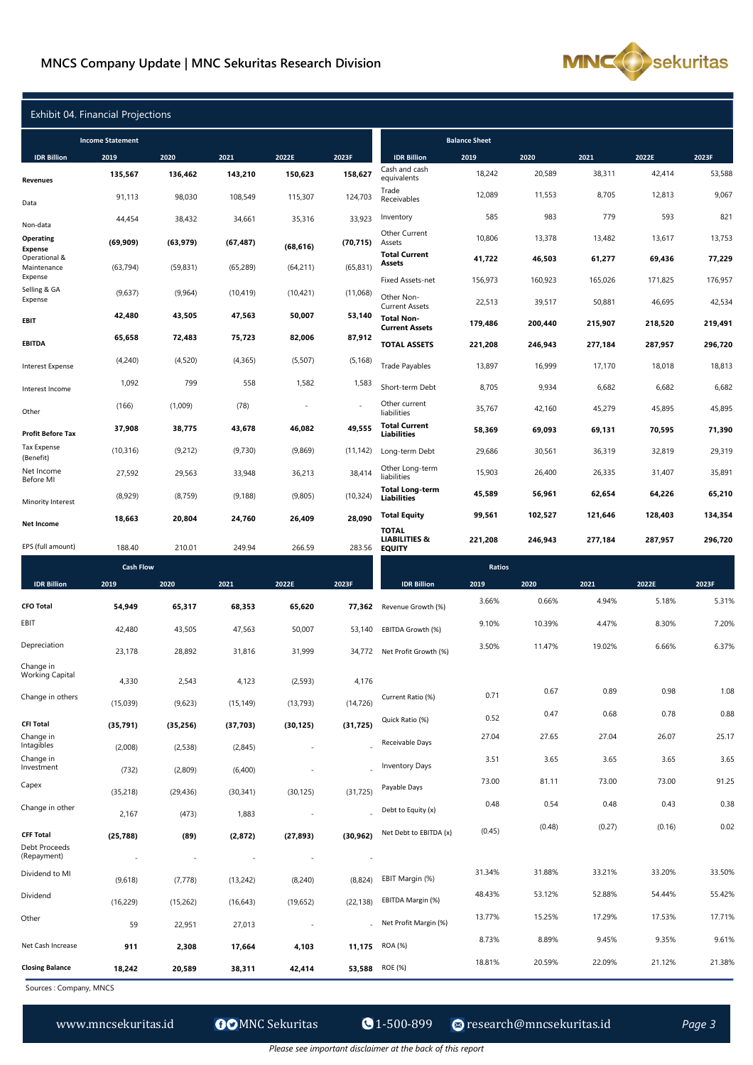#### **MNCS Company Update | MNC Sekuritas Research Division**



| Exhibit 04. Financial Projections            |                          |                          |                    |                          |                          |                                                                     |                   |                   |                   |                   |                   |
|----------------------------------------------|--------------------------|--------------------------|--------------------|--------------------------|--------------------------|---------------------------------------------------------------------|-------------------|-------------------|-------------------|-------------------|-------------------|
|                                              | <b>Income Statement</b>  |                          |                    |                          | <b>Balance Sheet</b>     |                                                                     |                   |                   |                   |                   |                   |
| <b>IDR Billion</b>                           | 2019                     | 2020                     | 2021               | 2022E                    | 2023F                    | <b>IDR Billion</b>                                                  | 2019              | 2020              | 2021              | 2022E             | 2023F             |
| <b>Revenues</b>                              | 135,567                  | 136,462                  | 143,210            | 150,623                  | 158,627                  | Cash and cash<br>equivalents                                        | 18,242            | 20,589            | 38,311            | 42,414            | 53,588            |
| Data                                         | 91,113                   | 98,030                   | 108,549            | 115,307                  | 124,703                  | Trade<br>Receivables                                                | 12,089            | 11,553            | 8,705             | 12,813            | 9,067             |
| Non-data                                     | 44,454                   | 38,432                   | 34,661             | 35,316                   | 33,923                   | Inventory                                                           | 585               | 983               | 779               | 593               | 821               |
| Operating<br><b>Expense</b><br>Operational & | (69, 909)                | (63, 979)                | (67, 487)          | (68, 616)                | (70, 715)                | Other Current<br>Assets<br><b>Total Current</b>                     | 10,806            | 13,378            | 13,482            | 13,617            | 13,753            |
| Maintenance<br>Expense                       | (63, 794)                | (59, 831)                | (65, 289)          | (64, 211)                | (65, 831)                | <b>Assets</b>                                                       | 41,722            | 46,503            | 61,277            | 69,436            | 77,229            |
| Selling & GA<br>Expense                      | (9,637)                  | (9,964)                  | (10, 419)          | (10, 421)                | (11,068)                 | Fixed Assets-net<br>Other Non-                                      | 156,973<br>22,513 | 160,923<br>39,517 | 165,026<br>50,881 | 171,825<br>46,695 | 176,957<br>42,534 |
| EBIT                                         | 42,480                   | 43,505                   | 47,563             | 50,007                   | 53,140                   | <b>Current Assets</b><br><b>Total Non-</b><br><b>Current Assets</b> | 179,486           | 200,440           | 215,907           | 218,520           | 219,491           |
| <b>EBITDA</b>                                | 65,658                   | 72,483                   | 75,723             | 82,006                   | 87,912                   | <b>TOTAL ASSETS</b>                                                 | 221,208           | 246,943           | 277,184           | 287,957           | 296,720           |
| <b>Interest Expense</b>                      | (4,240)                  | (4,520)                  | (4, 365)           | (5, 507)                 | (5, 168)                 | <b>Trade Payables</b>                                               | 13,897            | 16,999            | 17,170            | 18,018            | 18,813            |
| Interest Income                              | 1,092                    | 799                      | 558                | 1,582                    | 1,583                    | Short-term Debt                                                     | 8,705             | 9,934             | 6,682             | 6,682             | 6,682             |
| Other                                        | (166)                    | (1,009)                  | (78)               |                          |                          | Other current<br>liabilities                                        | 35,767            | 42,160            | 45,279            | 45,895            | 45,895            |
| <b>Profit Before Tax</b>                     | 37,908                   | 38,775                   | 43,678             | 46,082                   | 49,555                   | <b>Total Current</b><br><b>Liabilities</b>                          | 58,369            | 69,093            | 69,131            | 70,595            | 71,390            |
| <b>Tax Expense</b><br>(Benefit)              | (10, 316)                | (9,212)                  | (9,730)            | (9,869)                  | (11, 142)                | Long-term Debt                                                      | 29,686            | 30,561            | 36,319            | 32,819            | 29,319            |
| Net Income<br>Before MI                      | 27,592                   | 29,563                   | 33,948             | 36,213                   | 38,414                   | Other Long-term<br>liabilities                                      | 15,903            | 26,400            | 26,335            | 31,407            | 35,891            |
| Minority Interest                            | (8,929)                  | (8, 759)                 | (9, 188)           | (9,805)                  | (10, 324)                | <b>Total Long-term</b><br><b>Liabilities</b>                        | 45,589            | 56,961            | 62,654            | 64,226            | 65,210            |
| <b>Net Income</b>                            | 18,663                   | 20,804                   | 24,760             | 26,409                   | 28,090                   | <b>Total Equity</b>                                                 | 99,561            | 102,527           | 121,646           | 128,403           | 134,354           |
| EPS (full amount)                            | 188.40                   | 210.01                   | 249.94             | 266.59                   | 283.56                   | <b>TOTAL</b><br><b>LIABILITIES &amp;</b><br><b>EQUITY</b>           | 221,208           | 246,943           | 277,184           | 287,957           | 296,720           |
|                                              | <b>Cash Flow</b>         |                          |                    |                          |                          |                                                                     | Ratios            |                   |                   |                   |                   |
| <b>IDR Billion</b>                           | 2019                     | 2020                     | 2021               | 2022E                    | 2023F                    | <b>IDR Billion</b>                                                  | 2019              | 2020              | 2021              | 2022E             | 2023F             |
| <b>CFO Total</b>                             | 54,949                   | 65,317                   | 68,353             | 65,620                   | 77,362                   | Revenue Growth (%)                                                  | 3.66%             | 0.66%             | 4.94%             | 5.18%             | 5.31%             |
| EBIT                                         | 42,480                   | 43,505                   | 47,563             | 50,007                   | 53,140                   | EBITDA Growth (%)                                                   | 9.10%             | 10.39%            | 4.47%             | 8.30%             | 7.20%             |
| Depreciation                                 | 23,178                   | 28,892                   | 31,816             | 31,999                   | 34,772                   | Net Profit Growth (%)                                               | 3.50%             | 11.47%            | 19.02%            | 6.66%             | 6.37%             |
| Change in<br><b>Working Capital</b>          |                          |                          |                    |                          |                          |                                                                     |                   |                   |                   |                   |                   |
| Change in others                             | 4,330<br>(15,039)        | 2,543<br>(9,623)         | 4,123<br>(15, 149) | (2,593)<br>(13, 793)     | 4,176<br>(14, 726)       | Current Ratio (%)                                                   | 0.71              | 0.67              | 0.89              | 0.98              | 1.08              |
| <b>CFI Total</b>                             | (35, 791)                | (35, 256)                | (37, 703)          | (30, 125)                | (31, 725)                | Quick Ratio (%)                                                     | 0.52              | 0.47              | 0.68              | 0.78              | 0.88              |
| Change in<br>Intagibles                      |                          |                          |                    |                          |                          | Receivable Days                                                     | 27.04             | 27.65             | 27.04             | 26.07             | 25.17             |
| Change in<br>Investment                      | (2,008)<br>(732)         | (2,538)<br>(2,809)       | (2,845)<br>(6,400) | $\overline{\phantom{a}}$ |                          | <b>Inventory Days</b>                                               | 3.51              | 3.65              | 3.65              | 3.65              | 3.65              |
| Capex                                        | (35, 218)                | (29, 436)                | (30, 341)          | (30, 125)                | (31, 725)                | Payable Days                                                        | 73.00             | 81.11             | 73.00             | 73.00             | 91.25             |
| Change in other                              | 2,167                    | (473)                    | 1,883              | $\overline{\phantom{a}}$ |                          | Debt to Equity (x)                                                  | 0.48              | 0.54              | 0.48              | 0.43              | 0.38              |
| <b>CFF Total</b>                             | (25, 788)                | (89)                     | (2,872)            | (27, 893)                | (30, 962)                | Net Debt to EBITDA (x)                                              | (0.45)            | (0.48)            | (0.27)            | (0.16)            | 0.02              |
| Debt Proceeds<br>(Repayment)                 | $\overline{\phantom{a}}$ | $\overline{\phantom{a}}$ | $\sim$             | $\overline{\phantom{a}}$ | $\overline{\phantom{a}}$ |                                                                     |                   |                   |                   |                   |                   |
| Dividend to MI                               | (9,618)                  | (7, 778)                 | (13,242)           | (8,240)                  | (8,824)                  | EBIT Margin (%)                                                     | 31.34%            | 31.88%            | 33.21%            | 33.20%            | 33.50%            |
| Dividend                                     | (16, 229)                | (15,262)                 | (16, 643)          | (19,652)                 | (22, 138)                | EBITDA Margin (%)                                                   | 48.43%            | 53.12%            | 52.88%            | 54.44%            | 55.42%            |
| Other                                        | 59                       | 22,951                   | 27,013             |                          |                          | Net Profit Margin (%)                                               | 13.77%            | 15.25%            | 17.29%            | 17.53%            | 17.71%            |
|                                              |                          |                          |                    |                          |                          |                                                                     |                   |                   |                   |                   |                   |

Sources : Company, MNCS

**Closing Balance 18,242 20,589 38,311 42,414 53,588** 

ROE (%) 18.81% 20.59% 22.09% 21.12% 21.38%